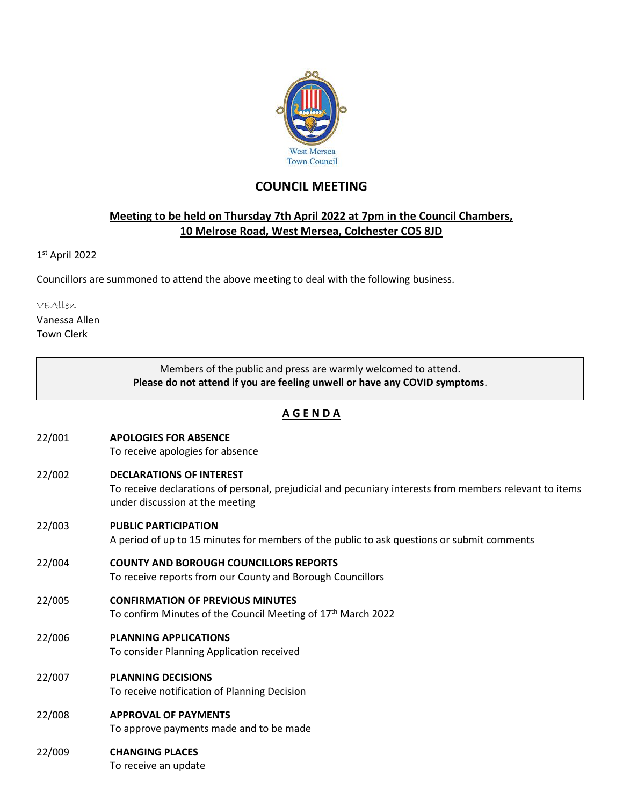

## **COUNCIL MEETING**

## **Meeting to be held on Thursday 7th April 2022 at 7pm in the Council Chambers, 10 Melrose Road, West Mersea, Colchester CO5 8JD**

1 st April 2022

Councillors are summoned to attend the above meeting to deal with the following business.

VEAllen

Vanessa Allen Town Clerk

|               | Members of the public and press are warmly welcomed to attend.<br>Please do not attend if you are feeling unwell or have any COVID symptoms.                                  |  |
|---------------|-------------------------------------------------------------------------------------------------------------------------------------------------------------------------------|--|
| <u>AGENDA</u> |                                                                                                                                                                               |  |
| 22/001        | <b>APOLOGIES FOR ABSENCE</b><br>To receive apologies for absence                                                                                                              |  |
| 22/002        | <b>DECLARATIONS OF INTEREST</b><br>To receive declarations of personal, prejudicial and pecuniary interests from members relevant to items<br>under discussion at the meeting |  |
| 22/003        | <b>PUBLIC PARTICIPATION</b><br>A period of up to 15 minutes for members of the public to ask questions or submit comments                                                     |  |
| 22/004        | <b>COUNTY AND BOROUGH COUNCILLORS REPORTS</b><br>To receive reports from our County and Borough Councillors                                                                   |  |
| 22/005        | <b>CONFIRMATION OF PREVIOUS MINUTES</b><br>To confirm Minutes of the Council Meeting of 17 <sup>th</sup> March 2022                                                           |  |
| 22/006        | <b>PLANNING APPLICATIONS</b><br>To consider Planning Application received                                                                                                     |  |
| 22/007        | <b>PLANNING DECISIONS</b><br>To receive notification of Planning Decision                                                                                                     |  |
| 22/008        | <b>APPROVAL OF PAYMENTS</b><br>To approve payments made and to be made                                                                                                        |  |
| 22/009        | <b>CHANGING PLACES</b><br>To receive an update                                                                                                                                |  |